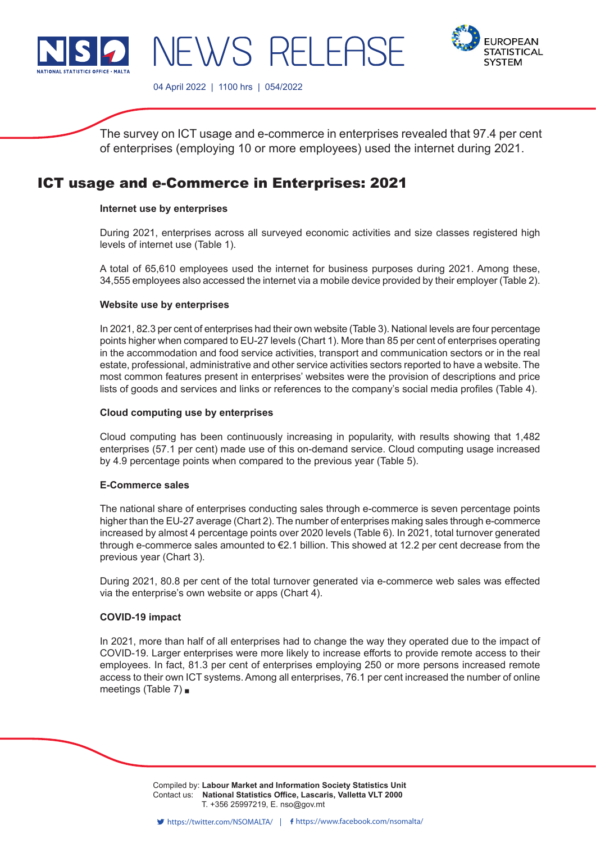



04 April 2022 | 1100 hrs | 054/2022

NEWS RELEASE

The survey on ICT usage and e-commerce in enterprises revealed that 97.4 per cent of enterprises (employing 10 or more employees) used the internet during 2021.

# ICT usage and e-Commerce in Enterprises: 2021

## **Internet use by enterprises**

During 2021, enterprises across all surveyed economic activities and size classes registered high levels of internet use (Table 1).

A total of 65,610 employees used the internet for business purposes during 2021. Among these, 34,555 employees also accessed the internet via a mobile device provided by their employer (Table 2).

## **Website use by enterprises**

In 2021, 82.3 per cent of enterprises had their own website (Table 3). National levels are four percentage points higher when compared to EU-27 levels (Chart 1). More than 85 per cent of enterprises operating in the accommodation and food service activities, transport and communication sectors or in the real estate, professional, administrative and other service activities sectors reported to have a website. The most common features present in enterprises' websites were the provision of descriptions and price lists of goods and services and links or references to the company's social media profiles (Table 4).

## **Cloud computing use by enterprises**

Cloud computing has been continuously increasing in popularity, with results showing that 1,482 enterprises (57.1 per cent) made use of this on-demand service. Cloud computing usage increased by 4.9 percentage points when compared to the previous year (Table 5).

# **E-Commerce sales**

The national share of enterprises conducting sales through e-commerce is seven percentage points higher than the EU-27 average (Chart 2). The number of enterprises making sales through e-commerce increased by almost 4 percentage points over 2020 levels (Table 6). In 2021, total turnover generated through e-commerce sales amounted to €2.1 billion. This showed at 12.2 per cent decrease from the previous year (Chart 3).

During 2021, 80.8 per cent of the total turnover generated via e-commerce web sales was effected via the enterprise's own website or apps (Chart 4).

# **COVID-19 impact**

In 2021, more than half of all enterprises had to change the way they operated due to the impact of COVID-19. Larger enterprises were more likely to increase efforts to provide remote access to their employees. In fact, 81.3 per cent of enterprises employing 250 or more persons increased remote access to their own ICT systems. Among all enterprises, 76.1 per cent increased the number of online meetings (Table 7)

> Compiled by: **Labour Market and Information Society Statistics Unit**<br>Compiled by: **Labour Market and Information Society Statistics Unit** Contact us: **National Statistics Office, Lascaris, Valletta VLT 2000** Issued by: **Dissemination Unit, National Statistics Office, Lascaris, Valletta VLT 2000, Malta.** T. +356 25997219, E. nso@gov.mt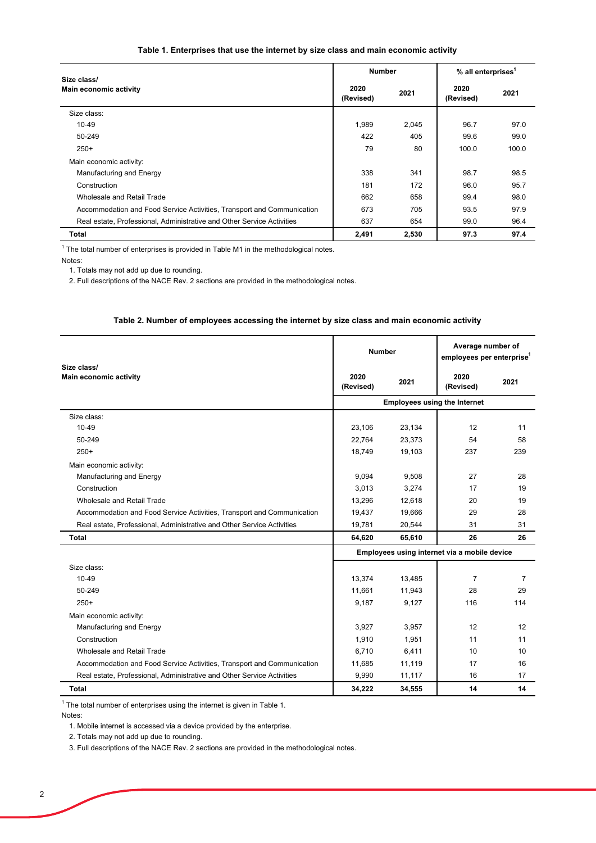## **Table 1. Enterprises that use the internet by size class and main economic activity**

| Size class/                                                            | <b>Number</b>     |       | % all enterprises <sup>1</sup> |       |
|------------------------------------------------------------------------|-------------------|-------|--------------------------------|-------|
| Main economic activity                                                 | 2020<br>(Revised) | 2021  | 2020<br>(Revised)              | 2021  |
| Size class:                                                            |                   |       |                                |       |
| $10 - 49$                                                              | 1,989             | 2,045 | 96.7                           | 97.0  |
| 50-249                                                                 | 422               | 405   | 99.6                           | 99.0  |
| $250+$                                                                 | 79                | 80    | 100.0                          | 100.0 |
| Main economic activity:                                                |                   |       |                                |       |
| Manufacturing and Energy                                               | 338               | 341   | 98.7                           | 98.5  |
| Construction                                                           | 181               | 172   | 96.0                           | 95.7  |
| Wholesale and Retail Trade                                             | 662               | 658   | 99.4                           | 98.0  |
| Accommodation and Food Service Activities, Transport and Communication | 673               | 705   | 93.5                           | 97.9  |
| Real estate, Professional, Administrative and Other Service Activities | 637               | 654   | 99.0                           | 96.4  |
| Total                                                                  | 2,491             | 2,530 | 97.3                           | 97.4  |

 $^{\rm 1}$  The total number of enterprises is provided in Table M1 in the methodological notes.

Notes:

1. Totals may not add up due to rounding.

2. Full descriptions of the NACE Rev. 2 sections are provided in the methodological notes.

#### **Table 2. Number of employees accessing the internet by size class and main economic activity**

| Size class/                                                            | <b>Number</b>                                |                                     | Average number of<br>employees per enterprise <sup>1</sup> |      |  |  |
|------------------------------------------------------------------------|----------------------------------------------|-------------------------------------|------------------------------------------------------------|------|--|--|
| Main economic activity                                                 | 2020<br>(Revised)                            | 2021                                | 2020<br>(Revised)                                          | 2021 |  |  |
|                                                                        |                                              | <b>Employees using the Internet</b> |                                                            |      |  |  |
| Size class:                                                            |                                              |                                     |                                                            |      |  |  |
| 10-49                                                                  | 23,106                                       | 23,134                              | 12                                                         | 11   |  |  |
| 50-249                                                                 | 22.764                                       | 23.373                              | 54                                                         | 58   |  |  |
| $250+$                                                                 | 18,749                                       | 19,103                              | 237                                                        | 239  |  |  |
| Main economic activity:                                                |                                              |                                     |                                                            |      |  |  |
| Manufacturing and Energy                                               | 9,094                                        | 9,508                               | 27                                                         | 28   |  |  |
| Construction                                                           | 3,013                                        | 3,274                               | 17                                                         | 19   |  |  |
| Wholesale and Retail Trade                                             | 13,296                                       | 12,618                              | 20                                                         | 19   |  |  |
| Accommodation and Food Service Activities, Transport and Communication | 19,437                                       | 19,666                              | 29                                                         | 28   |  |  |
| Real estate, Professional, Administrative and Other Service Activities | 19,781                                       | 20,544                              | 31                                                         | 31   |  |  |
| Total                                                                  | 64,620                                       | 65,610                              | 26                                                         | 26   |  |  |
|                                                                        | Employees using internet via a mobile device |                                     |                                                            |      |  |  |
| Size class:                                                            |                                              |                                     |                                                            |      |  |  |
| $10 - 49$                                                              | 13,374                                       | 13,485                              | $\overline{7}$                                             | 7    |  |  |
| 50-249                                                                 | 11,661                                       | 11,943                              | 28                                                         | 29   |  |  |
| $250+$                                                                 | 9,187                                        | 9,127                               | 116                                                        | 114  |  |  |
| Main economic activity:                                                |                                              |                                     |                                                            |      |  |  |
| Manufacturing and Energy                                               | 3,927                                        | 3,957                               | 12                                                         | 12   |  |  |
| Construction                                                           | 1,910                                        | 1,951                               | 11                                                         | 11   |  |  |
| Wholesale and Retail Trade                                             | 6,710                                        | 6,411                               | 10                                                         | 10   |  |  |
| Accommodation and Food Service Activities, Transport and Communication | 11,685                                       | 11,119                              | 17                                                         | 16   |  |  |
| Real estate, Professional, Administrative and Other Service Activities | 9,990                                        | 11,117                              | 16                                                         | 17   |  |  |
| <b>Total</b>                                                           | 34,222                                       | 34,555                              | 14                                                         | 14   |  |  |

 $^{\rm 1}$  The total number of enterprises using the internet is given in Table 1.

Notes:

1. Mobile internet is accessed via a device provided by the enterprise.

2. Totals may not add up due to rounding.

3. Full descriptions of the NACE Rev. 2 sections are provided in the methodological notes.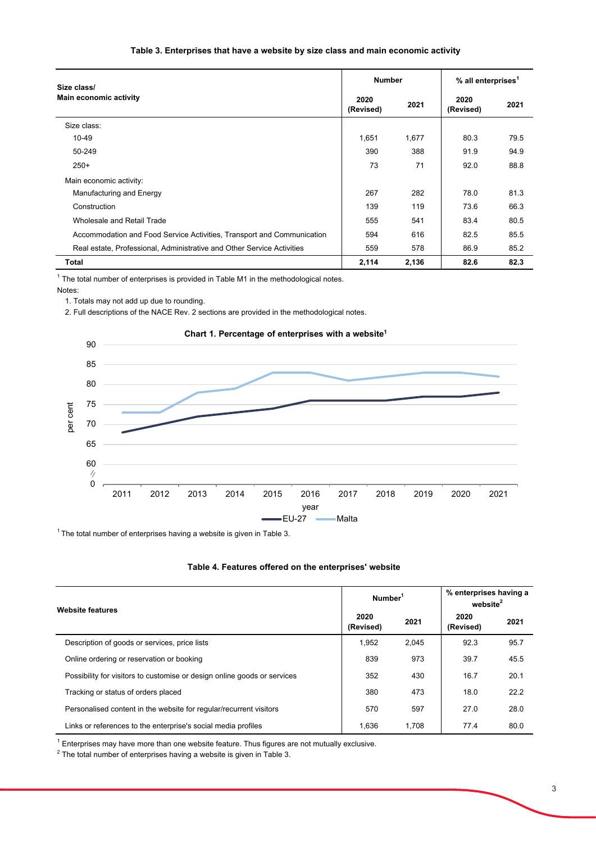## **Table 3. Enterprises that have a website by size class and main economic activity**

| Size class/                                                            |                   | <b>Number</b> |                   | % all enterprises <sup>1</sup> |  |
|------------------------------------------------------------------------|-------------------|---------------|-------------------|--------------------------------|--|
| <b>Main economic activity</b>                                          | 2020<br>(Revised) | 2021          | 2020<br>(Revised) | 2021                           |  |
| Size class:                                                            |                   |               |                   |                                |  |
| 10-49                                                                  | 1,651             | 1,677         | 80.3              | 79.5                           |  |
| 50-249                                                                 | 390               | 388           | 91.9              | 94.9                           |  |
| $250+$                                                                 | 73                | 71            | 92.0              | 88.8                           |  |
| Main economic activity:                                                |                   |               |                   |                                |  |
| Manufacturing and Energy                                               | 267               | 282           | 78.0              | 81.3                           |  |
| Construction                                                           | 139               | 119           | 73.6              | 66.3                           |  |
| Wholesale and Retail Trade                                             | 555               | 541           | 83.4              | 80.5                           |  |
| Accommodation and Food Service Activities, Transport and Communication | 594               | 616           | 82.5              | 85.5                           |  |
| Real estate, Professional, Administrative and Other Service Activities | 559               | 578           | 86.9              | 85.2                           |  |
| Total                                                                  | 2,114             | 2,136         | 82.6              | 82.3                           |  |

 $^{\rm 1}$  The total number of enterprises is provided in Table M1 in the methodological notes. Notes:

1. Totals may not add up due to rounding.

2. Full descriptions of the NACE Rev. 2 sections are provided in the methodological notes.



 $1$  The total number of enterprises having a website is given in Table 3.

#### **Table 4. Features offered on the enterprises' website**

| <b>Website features</b>                                                  | Number <sup>1</sup> |       | % enterprises having a<br>website <sup>2</sup> |      |
|--------------------------------------------------------------------------|---------------------|-------|------------------------------------------------|------|
|                                                                          | 2020<br>(Revised)   | 2021  | 2020<br>(Revised)                              | 2021 |
| Description of goods or services, price lists                            | 1.952               | 2.045 | 92.3                                           | 95.7 |
| Online ordering or reservation or booking                                | 839                 | 973   | 39.7                                           | 45.5 |
| Possibility for visitors to customise or design online goods or services | 352                 | 430   | 16.7                                           | 20.1 |
| Tracking or status of orders placed                                      | 380                 | 473   | 18.0                                           | 22.2 |
| Personalised content in the website for regular/recurrent visitors       | 570                 | 597   | 27.0                                           | 28.0 |
| Links or references to the enterprise's social media profiles            | 1.636               | 1.708 | 77.4                                           | 80.0 |

 $^{\rm 1}$  Enterprises may have more than one website feature. Thus figures are not mutually exclusive.

 $^{\rm 2}$  The total number of enterprises having a website is given in Table 3.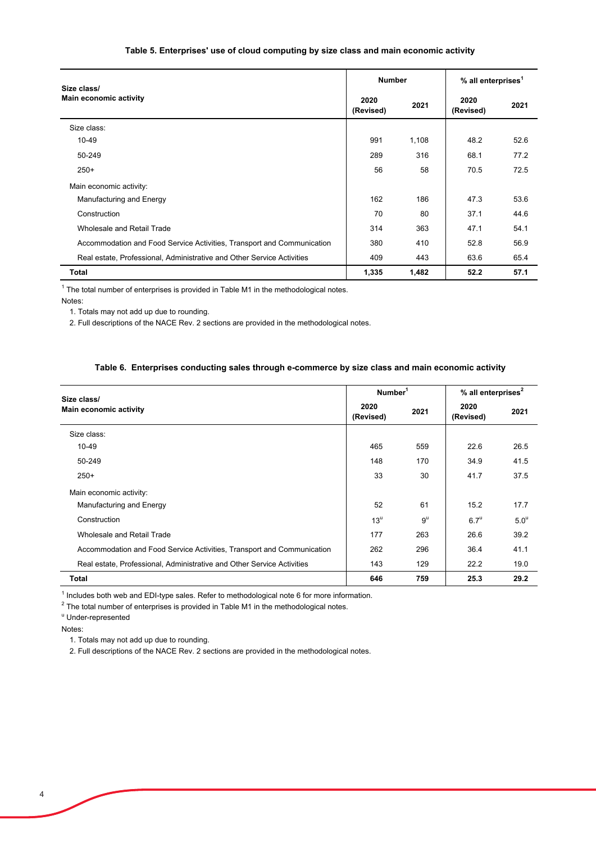## **Table 5. Enterprises' use of cloud computing by size class and main economic activity**

| Size class/                                                            |                   | <b>Number</b> |                   | % all enterprises <sup>1</sup> |  |
|------------------------------------------------------------------------|-------------------|---------------|-------------------|--------------------------------|--|
| <b>Main economic activity</b>                                          | 2020<br>(Revised) | 2021          | 2020<br>(Revised) | 2021                           |  |
| Size class:                                                            |                   |               |                   |                                |  |
| 10-49                                                                  | 991               | 1,108         | 48.2              | 52.6                           |  |
| 50-249                                                                 | 289               | 316           | 68.1              | 77.2                           |  |
| $250+$                                                                 | 56                | 58            | 70.5              | 72.5                           |  |
| Main economic activity:                                                |                   |               |                   |                                |  |
| Manufacturing and Energy                                               | 162               | 186           | 47.3              | 53.6                           |  |
| Construction                                                           | 70                | 80            | 37.1              | 44.6                           |  |
| Wholesale and Retail Trade                                             | 314               | 363           | 47.1              | 54.1                           |  |
| Accommodation and Food Service Activities, Transport and Communication | 380               | 410           | 52.8              | 56.9                           |  |
| Real estate, Professional, Administrative and Other Service Activities | 409               | 443           | 63.6              | 65.4                           |  |
| <b>Total</b>                                                           | 1,335             | 1,482         | 52.2              | 57.1                           |  |

 $1$  The total number of enterprises is provided in Table M1 in the methodological notes.

Notes:

1. Totals may not add up due to rounding.

2. Full descriptions of the NACE Rev. 2 sections are provided in the methodological notes.

| Table 6.  Enterprises conducting sales through e-commerce by size class and main economic activity |
|----------------------------------------------------------------------------------------------------|
|----------------------------------------------------------------------------------------------------|

| Size class/<br><b>Main economic activity</b><br>(Revised)              |                   | Number <sup>1</sup> |                   | % all enterprises <sup>2</sup> |  |
|------------------------------------------------------------------------|-------------------|---------------------|-------------------|--------------------------------|--|
|                                                                        |                   | 2021                | 2020<br>(Revised) | 2021                           |  |
| Size class:                                                            |                   |                     |                   |                                |  |
| 10-49                                                                  | 465               | 559                 | 22.6              | 26.5                           |  |
| 50-249                                                                 | 148               | 170                 | 34.9              | 41.5                           |  |
| $250+$                                                                 | 33                | 30                  | 41.7              | 37.5                           |  |
| Main economic activity:                                                |                   |                     |                   |                                |  |
| Manufacturing and Energy                                               | 52                | 61                  | 15.2              | 17.7                           |  |
| Construction                                                           | $13^{\mathrm{u}}$ | $9^{\mathrm{u}}$    | $6.7^\mathrm{u}$  | 5.0 <sup>u</sup>               |  |
| Wholesale and Retail Trade                                             | 177               | 263                 | 26.6              | 39.2                           |  |
| Accommodation and Food Service Activities, Transport and Communication | 262               | 296                 | 36.4              | 41.1                           |  |
| Real estate, Professional, Administrative and Other Service Activities | 143               | 129                 | 22.2              | 19.0                           |  |
| Total                                                                  | 646               | 759                 | 25.3              | 29.2                           |  |

 $1$  Includes both web and EDI-type sales. Refer to methodological note 6 for more information.

 $^{\text{2}}$  The total number of enterprises is provided in Table M1 in the methodological notes.

u Under-represented

Notes:

1. Totals may not add up due to rounding.

2. Full descriptions of the NACE Rev. 2 sections are provided in the methodological notes.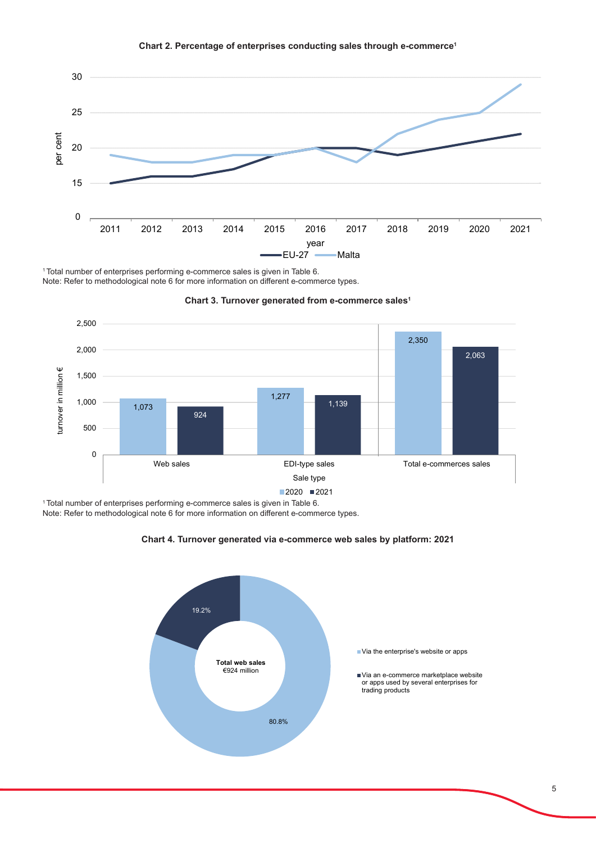

### **Chart 2. Percentage of enterprises conducting sales through e-commerce<sup>1</sup>**

1 Total number of enterprises performing e-commerce sales is given in Table 6. Note: Refer to methodological note 6 for more information on different e-commerce types.



#### **Chart 3. Turnover generated from e-commerce sales<sup>1</sup>**

1 Total number of enterprises performing e-commerce sales is given in Table 6. Note: Refer to methodological note 6 for more information on different e-commerce types.



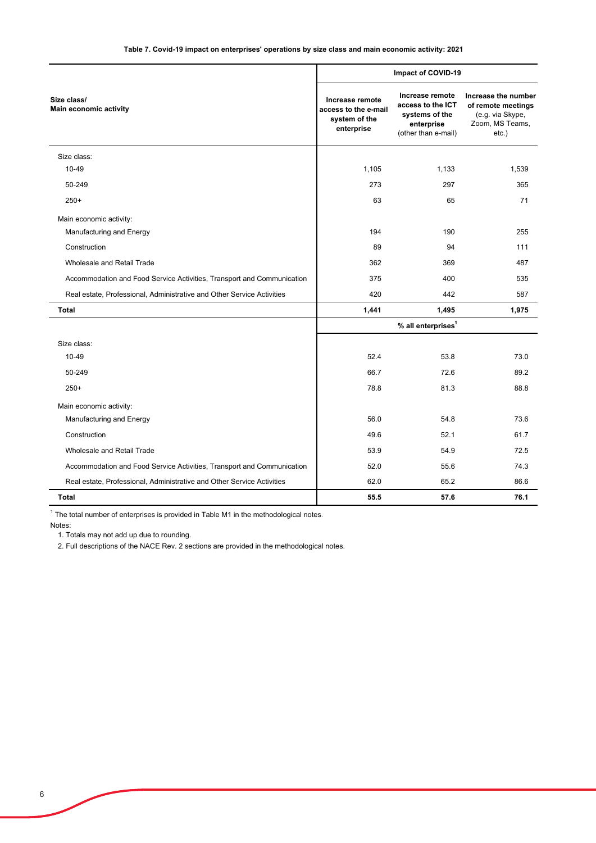|                                                                        | Impact of COVID-19                                                     |                                                                                             |                                                                                              |
|------------------------------------------------------------------------|------------------------------------------------------------------------|---------------------------------------------------------------------------------------------|----------------------------------------------------------------------------------------------|
| Size class/<br>Main economic activity                                  | Increase remote<br>access to the e-mail<br>system of the<br>enterprise | Increase remote<br>access to the ICT<br>systems of the<br>enterprise<br>(other than e-mail) | Increase the number<br>of remote meetings<br>(e.g. via Skype,<br>Zoom, MS Teams,<br>$etc.$ ) |
| Size class:                                                            |                                                                        |                                                                                             |                                                                                              |
| 10-49                                                                  | 1,105                                                                  | 1,133                                                                                       | 1,539                                                                                        |
| 50-249                                                                 | 273                                                                    | 297                                                                                         | 365                                                                                          |
| $250+$                                                                 | 63                                                                     | 65                                                                                          | 71                                                                                           |
| Main economic activity:                                                |                                                                        |                                                                                             |                                                                                              |
| Manufacturing and Energy                                               | 194                                                                    | 190                                                                                         | 255                                                                                          |
| Construction                                                           | 89                                                                     | 94                                                                                          | 111                                                                                          |
| Wholesale and Retail Trade                                             | 362                                                                    | 369                                                                                         | 487                                                                                          |
| Accommodation and Food Service Activities, Transport and Communication | 375                                                                    | 400                                                                                         | 535                                                                                          |
| Real estate, Professional, Administrative and Other Service Activities | 420                                                                    | 442                                                                                         | 587                                                                                          |
| <b>Total</b>                                                           | 1,441                                                                  | 1,495                                                                                       | 1,975                                                                                        |
|                                                                        |                                                                        | % all enterprises <sup>1</sup>                                                              |                                                                                              |
| Size class:                                                            |                                                                        |                                                                                             |                                                                                              |
| 10-49                                                                  | 52.4                                                                   | 53.8                                                                                        | 73.0                                                                                         |
| 50-249                                                                 | 66.7                                                                   | 72.6                                                                                        | 89.2                                                                                         |
| $250+$                                                                 | 78.8                                                                   | 81.3                                                                                        | 88.8                                                                                         |
| Main economic activity:                                                |                                                                        |                                                                                             |                                                                                              |
| Manufacturing and Energy                                               | 56.0                                                                   | 54.8                                                                                        | 73.6                                                                                         |
| Construction                                                           | 49.6                                                                   | 52.1                                                                                        | 61.7                                                                                         |
| Wholesale and Retail Trade                                             | 53.9                                                                   | 54.9                                                                                        | 72.5                                                                                         |
| Accommodation and Food Service Activities, Transport and Communication | 52.0                                                                   | 55.6                                                                                        | 74.3                                                                                         |
| Real estate, Professional, Administrative and Other Service Activities | 62.0                                                                   | 65.2                                                                                        | 86.6                                                                                         |
| <b>Total</b>                                                           | 55.5                                                                   | 57.6                                                                                        | 76.1                                                                                         |

 $1$  The total number of enterprises is provided in Table M1 in the methodological notes.

Notes:

1. Totals may not add up due to rounding.

2. Full descriptions of the NACE Rev. 2 sections are provided in the methodological notes.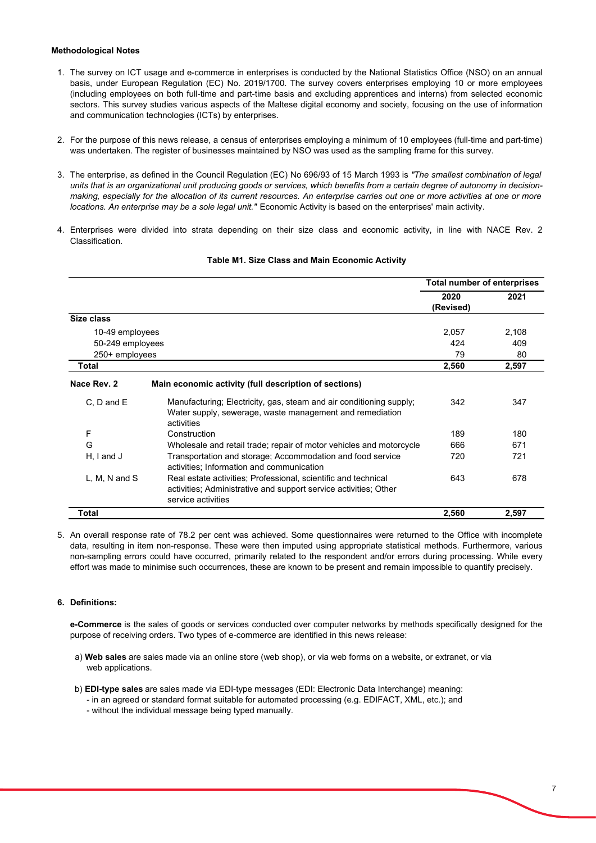#### **Methodological Notes**

- 1. The survey on ICT usage and e-commerce in enterprises is conducted by the National Statistics Office (NSO) on an annual basis, under European Regulation (EC) No. 2019/1700. The survey covers enterprises employing 10 or more employees (including employees on both full-time and part-time basis and excluding apprentices and interns) from selected economic sectors. This survey studies various aspects of the Maltese digital economy and society, focusing on the use of information and communication technologies (ICTs) by enterprises.
- 2. For the purpose of this news release, a census of enterprises employing a minimum of 10 employees (full-time and part-time) was undertaken. The register of businesses maintained by NSO was used as the sampling frame for this survey.
- 3. The enterprise, as defined in the Council Regulation (EC) No 696/93 of 15 March 1993 is *"The smallest combination of legal units that is an organizational unit producing goods or services, which benefits from a certain degree of autonomy in decisionmaking, especially for the allocation of its current resources. An enterprise carries out one or more activities at one or more locations. An enterprise may be a sole legal unit."* Economic Activity is based on the enterprises' main activity.
- 4. Enterprises were divided into strata depending on their size class and economic activity, in line with NACE Rev. 2 Classification.

|                   |                                                                                                                                                          | Total number of enterprises |       |
|-------------------|----------------------------------------------------------------------------------------------------------------------------------------------------------|-----------------------------|-------|
|                   |                                                                                                                                                          | 2020<br>(Revised)           | 2021  |
| Size class        |                                                                                                                                                          |                             |       |
| 10-49 employees   |                                                                                                                                                          | 2,057                       | 2,108 |
| 50-249 employees  |                                                                                                                                                          | 424                         | 409   |
| 250+ employees    |                                                                                                                                                          | 79                          | 80    |
| Total             |                                                                                                                                                          | 2,560                       | 2,597 |
| Nace Rev. 2       | Main economic activity (full description of sections)                                                                                                    |                             |       |
| C. D and E        | Manufacturing; Electricity, gas, steam and air conditioning supply;<br>Water supply, sewerage, waste management and remediation<br>activities            | 342                         | 347   |
| F                 | Construction                                                                                                                                             | 189                         | 180   |
| G                 | Wholesale and retail trade; repair of motor vehicles and motorcycle                                                                                      | 666                         | 671   |
| $H, I$ and $J$    | Transportation and storage; Accommodation and food service<br>activities; Information and communication                                                  | 720                         | 721   |
| $L, M, N$ and $S$ | Real estate activities; Professional, scientific and technical<br>activities; Administrative and support service activities; Other<br>service activities | 643                         | 678   |
| Total             |                                                                                                                                                          | 2,560                       | 2,597 |

#### **Table M1. Size Class and Main Economic Activity**

5. An overall response rate of 78.2 per cent was achieved. Some questionnaires were returned to the Office with incomplete data, resulting in item non-response. These were then imputed using appropriate statistical methods. Furthermore, various non-sampling errors could have occurred, primarily related to the respondent and/or errors during processing. While every effort was made to minimise such occurrences, these are known to be present and remain impossible to quantify precisely.

#### **6. Definitions:**

**e-Commerce** is the sales of goods or services conducted over computer networks by methods specifically designed for the purpose of receiving orders. Two types of e-commerce are identified in this news release:

- a) **Web sales** are sales made via an online store (web shop), or via web forms on a website, or extranet, or via web applications.
- b) **EDI-type sales** are sales made via EDI-type messages (EDI: Electronic Data Interchange) meaning:
	- in an agreed or standard format suitable for automated processing (e.g. EDIFACT, XML, etc.); and
	- without the individual message being typed manually.